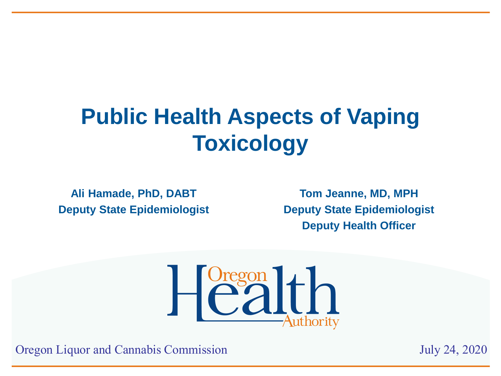# **Public Health Aspects of Vaping Toxicology**

**Ali Hamade, PhD, DABT Deputy State Epidemiologist**

**Tom Jeanne, MD, MPH Deputy State Epidemiologist Deputy Health Officer**



Oregon Liquor and Cannabis Commission July 24, 2020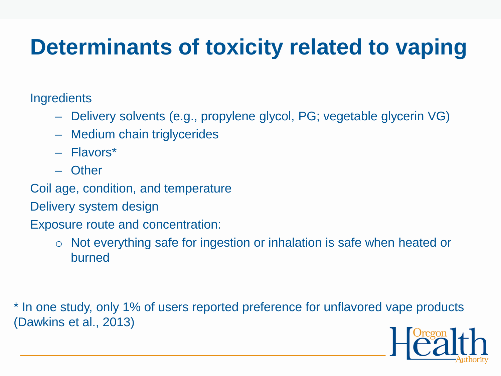# **Determinants of toxicity related to vaping**

**Ingredients** 

- Delivery solvents (e.g., propylene glycol, PG; vegetable glycerin VG)
- Medium chain triglycerides
- Flavors\*
- Other
- Coil age, condition, and temperature
- Delivery system design
- Exposure route and concentration:
	- o Not everything safe for ingestion or inhalation is safe when heated or burned

\* In one study, only 1% of users reported preference for unflavored vape products (Dawkins et al., 2013)

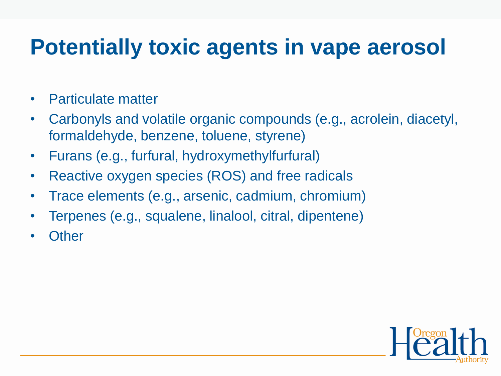#### **Potentially toxic agents in vape aerosol**

- Particulate matter
- Carbonyls and volatile organic compounds (e.g., acrolein, diacetyl, formaldehyde, benzene, toluene, styrene)
- Furans (e.g., furfural, hydroxymethylfurfural)
- Reactive oxygen species (ROS) and free radicals
- Trace elements (e.g., arsenic, cadmium, chromium)
- Terpenes (e.g., squalene, linalool, citral, dipentene)
- **Other**

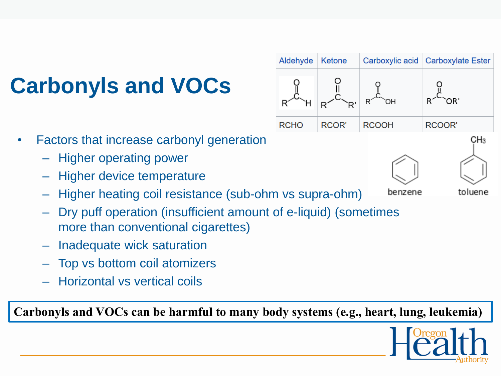# **Carbonyls and VOCs**



benzene

- Factors that increase carbonyl generation
	- Higher operating power
	- Higher device temperature
	- Higher heating coil resistance (sub-ohm vs supra-ohm)
	- Dry puff operation (insufficient amount of e-liquid) (sometimes more than conventional cigarettes)
	- Inadequate wick saturation
	- Top vs bottom coil atomizers
	- Horizontal vs vertical coils

**Carbonyls and VOCs can be harmful to many body systems (e.g., heart, lung, leukemia)**



CH<sub>3</sub>

toluene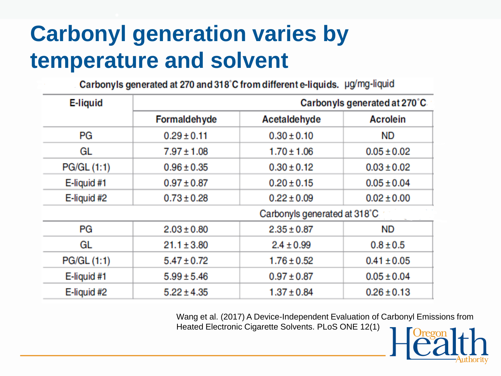# **Carbonyl generation varies by temperature and solvent**

Carbonyls generated at 270 and 318°C from different e-liquids. µg/mg-liquid

| <b>E-liquid</b> | Carbonyls generated at 270°C       |                                    |                 |  |  |
|-----------------|------------------------------------|------------------------------------|-----------------|--|--|
|                 | Formaldehyde<br>Acetaldehyde       |                                    | <b>Acrolein</b> |  |  |
| PG              | $0.29 \pm 0.11$                    | $0.30 \pm 0.10$                    | ND.             |  |  |
| GL              | $7.97 \pm 1.08$                    | $1.70 \pm 1.06$                    | $0.05 \pm 0.02$ |  |  |
| PG/GL (1:1)     | $0.96 \pm 0.35$                    | $0.30 \pm 0.12$                    | $0.03 \pm 0.02$ |  |  |
| E-liquid #1     | $0.97 \pm 0.87$                    | $0.20 \pm 0.15$                    | $0.05 \pm 0.04$ |  |  |
| E-liquid #2     | $0.73 \pm 0.28$                    | $0.22 \pm 0.09$                    | $0.02 \pm 0.00$ |  |  |
|                 | Carbonyls generated at 318°C       |                                    |                 |  |  |
| PG              | $2.35 \pm 0.87$<br>$2.03 \pm 0.80$ |                                    | <b>ND</b>       |  |  |
| GL              | $21.1 \pm 3.80$                    | $2.4 \pm 0.99$                     | $0.8 \pm 0.5$   |  |  |
| PG/GL (1:1)     | $5.47 \pm 0.72$                    | $1.76 \pm 0.52$<br>$0.41 \pm 0.05$ |                 |  |  |
| E-liquid #1     | $5.99 \pm 5.46$                    | $0.97 \pm 0.87$                    | $0.05 \pm 0.04$ |  |  |
| E-liquid #2     | $5.22 \pm 4.35$                    | $1.37 \pm 0.84$                    | $0.26 \pm 0.13$ |  |  |

Wang et al. (2017) A Device-Independent Evaluation of Carbonyl Emissions from Heated Electronic Cigarette Solvents. PLoS ONE 12(1)

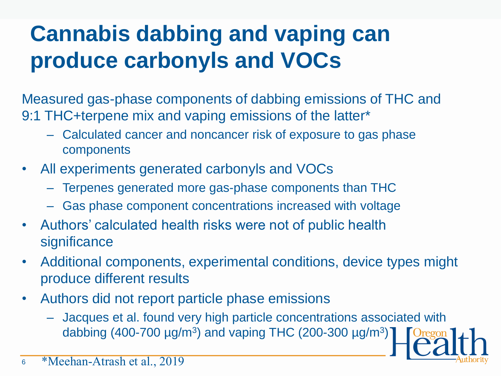# **Cannabis dabbing and vaping can produce carbonyls and VOCs**

Measured gas-phase components of dabbing emissions of THC and 9:1 THC+terpene mix and vaping emissions of the latter\*

- Calculated cancer and noncancer risk of exposure to gas phase components
- All experiments generated carbonyls and VOCs
	- Terpenes generated more gas-phase components than THC
	- Gas phase component concentrations increased with voltage
- Authors' calculated health risks were not of public health significance
- Additional components, experimental conditions, device types might produce different results
- Authors did not report particle phase emissions
	- Jacques et al. found very high particle concentrations associated with dabbing (400-700  $\mu$ g/m<sup>3</sup>) and vaping THC (200-300  $\mu$ g/m<sup>3</sup>)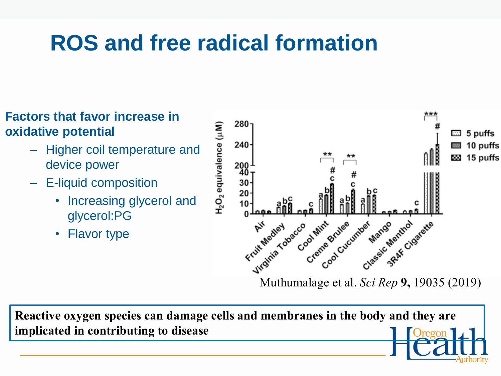#### **ROS and free radical formation**

#### **Factors that favor increase in oxidative potential**

- Higher coil temperature and device power
- E-liquid composition
	- Increasing glycerol and glycerol:PG
	- Flavor type



**Reactive oxygen species can damage cells and membranes in the body and they are implicated in contributing to disease**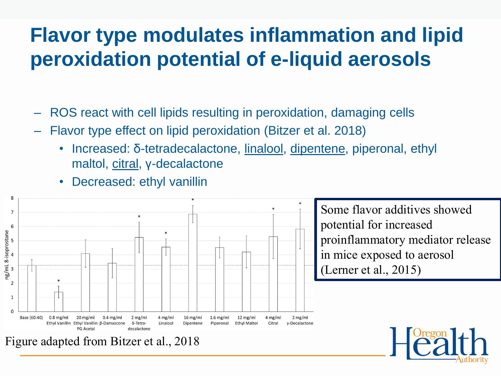#### **Flavor type modulates inflammation and lipid peroxidation potential of e-liquid aerosols**

- ROS react with cell lipids resulting in peroxidation, damaging cells
- Flavor type effect on lipid peroxidation (Bitzer et al. 2018)
	- Increased: δ-tetradecalactone, linalool, dipentene, piperonal, ethyl maltol, citral, y-decalactone
	- Decreased: ethyl vanillin



Figure adapted from Bitzer et al., 2018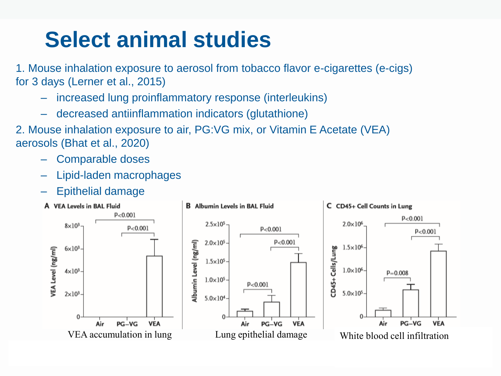# **Select animal studies**

1. Mouse inhalation exposure to aerosol from tobacco flavor e-cigarettes (e-cigs) for 3 days (Lerner et al., 2015)

- increased lung proinflammatory response (interleukins)
- decreased antiinflammation indicators (glutathione)
- 2. Mouse inhalation exposure to air, PG:VG mix, or Vitamin E Acetate (VEA) aerosols (Bhat et al., 2020)
	- Comparable doses
	- Lipid-laden macrophages
	- Epithelial damage

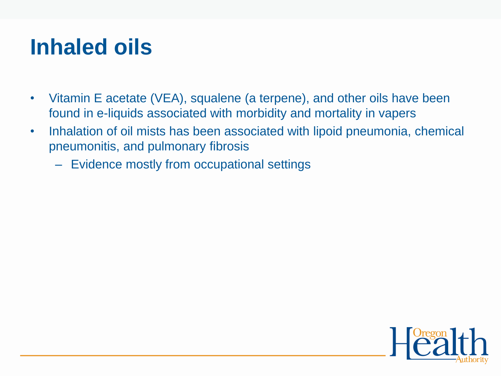#### **Inhaled oils**

- Vitamin E acetate (VEA), squalene (a terpene), and other oils have been found in e-liquids associated with morbidity and mortality in vapers
- Inhalation of oil mists has been associated with lipoid pneumonia, chemical pneumonitis, and pulmonary fibrosis
	- Evidence mostly from occupational settings

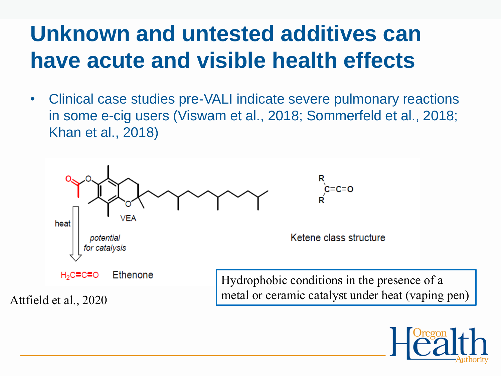#### **Unknown and untested additives can have acute and visible health effects**

• Clinical case studies pre-VALI indicate severe pulmonary reactions in some e-cig users (Viswam et al., 2018; Sommerfeld et al., 2018; Khan et al., 2018)



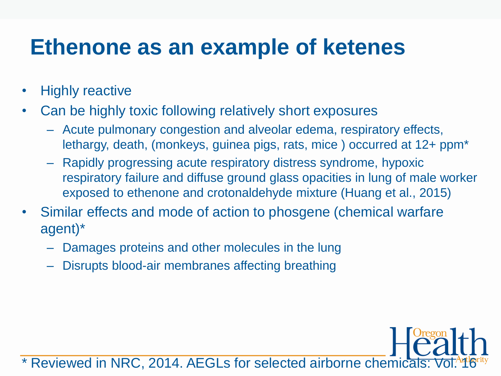#### **Ethenone as an example of ketenes**

- **Highly reactive**
- Can be highly toxic following relatively short exposures
	- Acute pulmonary congestion and alveolar edema, respiratory effects, lethargy, death, (monkeys, guinea pigs, rats, mice ) occurred at 12+ ppm\*
	- Rapidly progressing acute respiratory distress syndrome, hypoxic respiratory failure and diffuse ground glass opacities in lung of male worker exposed to ethenone and crotonaldehyde mixture (Huang et al., 2015)
- Similar effects and mode of action to phosgene (chemical warfare agent)\*
	- Damages proteins and other molecules in the lung
	- Disrupts blood-air membranes affecting breathing

Reviewed in NRC, 2014. AEGLs for selected airborne chemicals: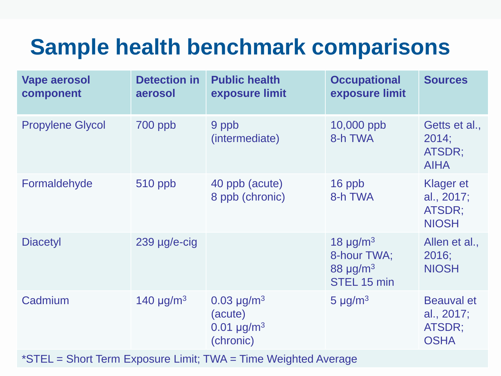#### **Sample health benchmark comparisons**

| <b>Vape aerosol</b><br>component | <b>Detection in</b><br>aerosol | <b>Public health</b><br>exposure limit                       | <b>Occupational</b><br>exposure limit                                                | <b>Sources</b>                                           |
|----------------------------------|--------------------------------|--------------------------------------------------------------|--------------------------------------------------------------------------------------|----------------------------------------------------------|
| <b>Propylene Glycol</b>          | 700 ppb                        | 9 ppb<br>(intermediate)                                      | 10,000 ppb<br>8-h TWA                                                                | Getts et al.,<br>2014;<br>ATSDR;<br><b>AIHA</b>          |
| Formaldehyde                     | 510 ppb                        | 40 ppb (acute)<br>8 ppb (chronic)                            | 16 ppb<br>8-h TWA                                                                    | <b>Klager et</b><br>al., 2017;<br>ATSDR;<br><b>NIOSH</b> |
| <b>Diacetyl</b>                  | $239$ µg/e-cig                 |                                                              | 18 $\mu$ g/m <sup>3</sup><br>8-hour TWA;<br>88 $\mu$ g/m <sup>3</sup><br>STEL 15 min | Allen et al.,<br>2016;<br><b>NIOSH</b>                   |
| Cadmium                          | 140 $\mu$ g/m <sup>3</sup>     | $0.03 \mu g/m^3$<br>(acute)<br>$0.01 \mu g/m^3$<br>(chronic) | 5 $\mu$ g/m <sup>3</sup>                                                             | <b>Beauval et</b><br>al., 2017;<br>ATSDR;<br><b>OSHA</b> |

\*STEL = Short Term Exposure Limit; TWA = Time Weighted Average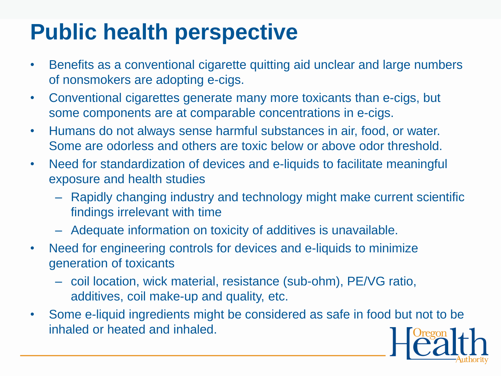#### **Public health perspective**

- Benefits as a conventional cigarette quitting aid unclear and large numbers of nonsmokers are adopting e-cigs.
- Conventional cigarettes generate many more toxicants than e-cigs, but some components are at comparable concentrations in e-cigs.
- Humans do not always sense harmful substances in air, food, or water. Some are odorless and others are toxic below or above odor threshold.
- Need for standardization of devices and e-liquids to facilitate meaningful exposure and health studies
	- Rapidly changing industry and technology might make current scientific findings irrelevant with time
	- Adequate information on toxicity of additives is unavailable.
- Need for engineering controls for devices and e-liquids to minimize generation of toxicants
	- coil location, wick material, resistance (sub-ohm), PE/VG ratio, additives, coil make-up and quality, etc.
- Some e-liquid ingredients might be considered as safe in food but not to be inhaled or heated and inhaled.

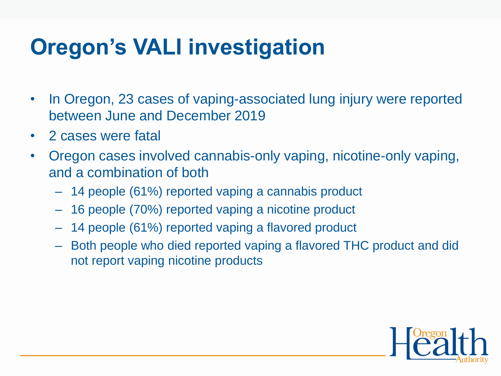# **Oregon's VALI investigation**

- In Oregon, 23 cases of vaping-associated lung injury were reported between June and December 2019
- 2 cases were fatal
- Oregon cases involved cannabis-only vaping, nicotine-only vaping, and a combination of both
	- 14 people (61%) reported vaping a cannabis product
	- 16 people (70%) reported vaping a nicotine product
	- 14 people (61%) reported vaping a flavored product
	- Both people who died reported vaping a flavored THC product and did not report vaping nicotine products

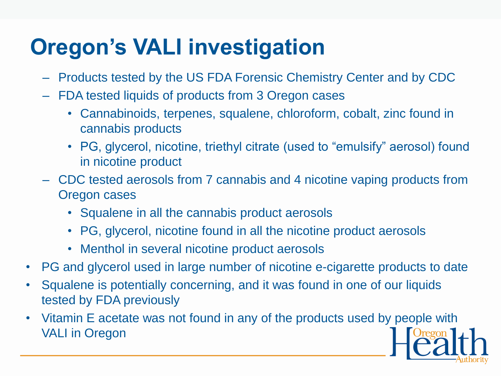# **Oregon's VALI investigation**

- Products tested by the US FDA Forensic Chemistry Center and by CDC
- FDA tested liquids of products from 3 Oregon cases
	- Cannabinoids, terpenes, squalene, chloroform, cobalt, zinc found in cannabis products
	- PG, glycerol, nicotine, triethyl citrate (used to "emulsify" aerosol) found in nicotine product
- CDC tested aerosols from 7 cannabis and 4 nicotine vaping products from Oregon cases
	- Squalene in all the cannabis product aerosols
	- PG, glycerol, nicotine found in all the nicotine product aerosols
	- Menthol in several nicotine product aerosols
- PG and glycerol used in large number of nicotine e-cigarette products to date
- Squalene is potentially concerning, and it was found in one of our liquids tested by FDA previously
- Vitamin E acetate was not found in any of the products used by people with VALI in Oregon